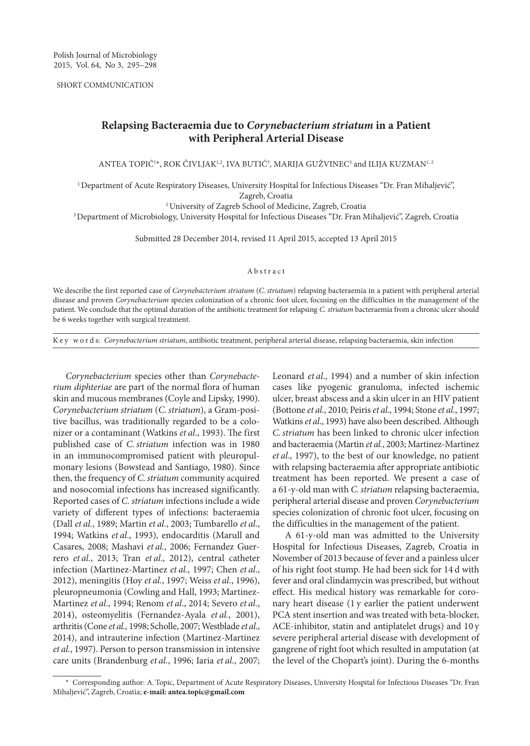SHORT COMMUNICATION

## **Relapsing Bacteraemia due to** *Corynebacterium striatum* **in a Patient with Peripheral Arterial Disease**

 $\rm AMTEA$  TOPIC<sup>1</sup>\*, ROK CIVLJAK<sup>1,2</sup>, IVA BUTIC<sup>3</sup>, MARIJA GUŽVINEC $^3$  and ILIJA KUZMAN<sup>1,2</sup>

1Department of Acute Respiratory Diseases, University Hospital for Infectious Diseases "Dr. Fran Mihaljević", Zagreb, Croatia

2University of Zagreb School of Medicine, Zagreb, Croatia

3Department of Microbiology, University Hospital for Infectious Diseases "Dr. Fran Mihaljević", Zagreb, Croatia

Submitted 28 December 2014, revised 11 April 2015, accepted 13 April 2015

## Abstract

We describe the first reported case of *Corynebacterium striatum* (*C.striatum*) relapsing bacteraemia in a patient with peripheral arterial disease and proven *Corynebacterium* species colonization of a chronic foot ulcer, focusing on the difficulties in the management of the patient. We conclude that the optimal duration of the antibiotic treatment for relapsing *C. striatum* bacteraemia from a chronic ulcer should be 6 weeks together with surgical treatment.

K e y w o r d s: *Corynebacterium striatum*, antibiotic treatment, peripheral arterial disease, relapsing bacteraemia, skin infection

*Corynebacterium* species other than *Corynebacterium diphteriae* are part of the normal flora of human skin and mucous membranes (Coyle and Lipsky, 1990). *Corynebacterium striatum* (*C.striatum*), a Gram-positive bacillus, was traditionally regarded to be a colonizer or a contaminant (Watkins *et al*., 1993). The first published case of *C.striatum* infection was in 1980 in an immunocompromised patient with pleuropulmonary lesions (Bowstead and Santiago, 1980). Since then, the frequency of *C. striatum* community acquired and nosocomial infections has increased significantly. Reported cases of *C. striatum* infections include a wide variety of different types of infections: bacteraemia (Dall *et al.*, 1989; Martin *et al.*, 2003; Tumbarello *et al*., 1994; Watkins *et al*., 1993), endocarditis (Marull and Casares, 2008; Mashavi *et al.*, 2006; Fernandez Guerrero *et al.*, 2013; Tran *et al*., 2012), central catheter infection (Martinez-Martinez *et al.*, 1997; Chen *et al*., 2012), meningitis (Hoy *et al.*, 1997; Weiss *et al.*, 1996), pleuropneumonia (Cowling and Hall, 1993; Martinez-Martinez *et al*., 1994; Renom *et al*., 2014; Severo *et al.*, 2014), osteomyelitis (Fernandez-Ayala *et al.*, 2001), arthritis (Cone *et al.,* 1998; Scholle, 2007; Westblade *et al*., 2014), and intrauterine infection (Martinez-Martinez *et al.*, 1997). Person to person transmission in intensive care units (Brandenburg *et al.*, 1996; Iaria *et al*., 2007;

Leonard *et al*., 1994) and a number of skin infection cases like pyogenic granuloma, infected ischemic ulcer, breast abscess and a skin ulcer in an HIV patient (Bottone *et al*., 2010; Peiris *et al*., 1994; Stone *et al*., 1997; Watkins *et al*., 1993) have also been described. Although *C.striatum* has been linked to chronic ulcer infection and bacteraemia (Martin *et al.*, 2003; Martinez-Martinez *et al*., 1997), to the best of our knowledge, no patient with relapsing bacteraemia after appropriate antibiotic treatment has been reported. We present a case of a 61-y-old man with *C.striatum* relapsing bacteraemia, peripheral arterial disease and proven *Corynebacterium* species colonization of chronic foot ulcer, focusing on the difficulties in the management of the patient.

A 61-y-old man was admitted to the University Hospital for Infectious Diseases, Zagreb, Croatia in November of 2013 because of fever and a painless ulcer of his right foot stump. He had been sick for 14 d with fever and oral clindamycin was prescribed, but without effect. His medical history was remarkable for coronary heart disease (1 y earlier the patient underwent PCA stent insertion and was treated with beta-blocker, ACE-inhibitor, statin and antiplatelet drugs) and 10 y severe peripheral arterial disease with development of gangrene of right foot which resulted in amputation (at the level of the Chopart's joint). During the 6-months

<sup>\*</sup> Corresponding author: A. Topic, Department of Acute Respiratory Diseases, University Hospital for Infectious Diseases "Dr. Fran Mihaljević", Zagreb, Croatia; **e-mail: antea.topic@gmail.com**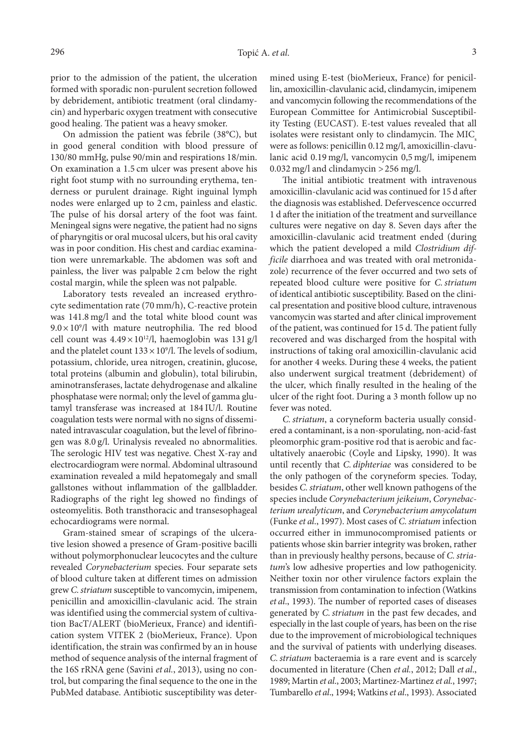prior to the admission of the patient, the ulceration formed with sporadic non-purulent secretion followed by debridement, antibiotic treatment (oral clindamycin) and hyperbaric oxygen treatment with consecutive good healing. The patient was a heavy smoker.

On admission the patient was febrile (38°C), but in good general condition with blood pressure of 130/80 mmHg, pulse 90/min and respirations 18/min. On examination a 1.5 cm ulcer was present above his right foot stump with no surrounding erythema, tenderness or purulent drainage. Right inguinal lymph nodes were enlarged up to 2 cm, painless and elastic. The pulse of his dorsal artery of the foot was faint. Meningeal signs were negative, the patient had no signs of pharyngitis or oral mucosal ulcers, but his oral cavity was in poor condition. His chest and cardiac examination were unremarkable. The abdomen was soft and painless, the liver was palpable 2 cm below the right costal margin, while the spleen was not palpable.

Laboratory tests revealed an increased erythrocyte sedimentation rate (70 mm/h), C-reactive protein was 141.8 mg/l and the total white blood count was  $9.0 \times 10^9$ /l with mature neutrophilia. The red blood cell count was  $4.49 \times 10^{12}$ /l, haemoglobin was 131 g/l and the platelet count  $133 \times 10^9$ /l. The levels of sodium, potassium, chloride, urea nitrogen, creatinin, glucose, total proteins (albumin and globulin), total bilirubin, aminotransferases, lactate dehydrogenase and alkaline phosphatase were normal; only the level of gamma glutamyl transferase was increased at 184 IU/l. Routine coagulation tests were normal with no signs of disseminated intravascular coagulation, but the level of fibrinogen was 8.0 g/l. Urinalysis revealed no abnormalities. The serologic HIV test was negative. Chest X-ray and electrocardiogram were normal. Abdominal ultrasound examination revealed a mild hepatomegaly and small gallstones without inflammation of the gallbladder. Radiographs of the right leg showed no findings of osteomyelitis. Both transthoracic and transesophageal echocardiograms were normal.

Gram-stained smear of scrapings of the ulcerative lesion showed a presence of Gram-positive bacilli without polymorphonuclear leucocytes and the culture revealed *Corynebacterium* species. Four separate sets of blood culture taken at different times on admission grew *C.striatum* susceptible to vancomycin, imipenem, penicillin and amoxicillin-clavulanic acid. The strain was identified using the commercial system of cultivation BacT/ALERT (bioMerieux, France) and identification system VITEK 2 (bioMerieux, France). Upon identification, the strain was confirmed by an in house method of sequence analysis of the internal fragment of the 16S rRNA gene (Savini *et al.*, 2013), using no control, but comparing the final sequence to the one in the PubMed database. Antibiotic susceptibility was deter-

mined using E-test (bioMerieux, France) for penicillin, amoxicillin-clavulanic acid, clindamycin, imipenem and vancomycin following the recommendations of the European Committee for Antimicrobial Susceptibility Testing (EUCAST). E-test values revealed that all isolates were resistant only to clindamycin. The MIC were as follows: penicillin 0.12 mg/l, amoxicillin-clavulanic acid 0.19 mg/l, vancomycin 0,5 mg/l, imipenem 0.032 mg/l and clindamycin >256 mg/l.

The initial antibiotic treatment with intravenous amoxicillin-clavulanic acid was continued for 15 d after the diagnosis was established. Defervescence occurred 1 d after the initiation of the treatment and surveillance cultures were negative on day 8. Seven days after the amoxicillin-clavulanic acid treatment ended (during which the patient developed a mild *Clostridium difficile* diarrhoea and was treated with oral metronidazole) recurrence of the fever occurred and two sets of repeated blood culture were positive for *C.striatum* of identical antibiotic susceptibility. Based on the clinical presentation and positive blood culture, intravenous vancomycin was started and after clinical improvement of the patient, was continued for 15 d. The patient fully recovered and was discharged from the hospital with instructions of taking oral amoxicillin-clavulanic acid for another 4 weeks. During these 4 weeks, the patient also underwent surgical treatment (debridement) of the ulcer, which finally resulted in the healing of the ulcer of the right foot. During a 3 month follow up no fever was noted.

*C.striatum*, a coryneform bacteria usually considered a contaminant, is a non-sporulating, non-acid-fast pleomorphic gram-positive rod that is aerobic and facultatively anaerobic (Coyle and Lipsky, 1990). It was until recently that *C. diphteriae* was considered to be the only pathogen of the coryneform species. Today, besides *C.striatum*, other well known pathogens of the species include *Corynebacterium jeikeium*, *Corynebacterium urealyticum*, and *Corynebacterium amycolatum*  (Funke *et al*., 1997). Most cases of *C.striatum* infection occurred either in immunocompromised patients or patients whose skin barrier integrity was broken, rather than in previously healthy persons, because of *C.striatum*'s low adhesive properties and low pathogenicity. Neither toxin nor other virulence factors explain the transmission from contamination to infection (Watkins *et al*., 1993). The number of reported cases of diseases generated by *C.striatum* in the past few decades, and especially in the last couple of years, has been on the rise due to the improvement of microbiological techniques and the survival of patients with underlying diseases. *C.striatum* bacteraemia is a rare event and is scarcely documented in literature (Chen *et al.*, 2012; Dall *et al*., 1989; Martin *et al*., 2003; Martinez-Martinez *et al.*, 1997; Tumbarello *et al*., 1994; Watkins *et al*., 1993). Associated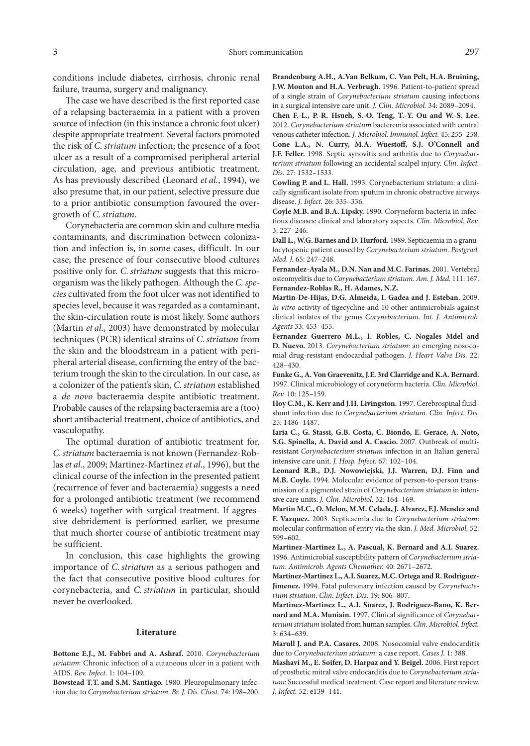conditions include diabetes, cirrhosis, chronic renal failure, trauma, surgery and malignancy.

The case we have described is the first reported case of a relapsing bacteraemia in a patient with a proven source of infection (in this instance a chronic foot ulcer) despite appropriate treatment. Several factors promoted the risk of *C.striatum* infection; the presence of a foot ulcer as a result of a compromised peripheral arterial circulation, age, and previous antibiotic treatment. As has previously described (Leonard *et al.*, 1994), we also presume that, in our patient, selective pressure due to a prior antibiotic consumption favoured the overgrowth of *C.striatum*.

Corynebacteria are common skin and culture media contaminants, and discrimination between colonization and infection is, in some cases, difficult. In our case, the presence of four consecutive blood cultures positive only for. *C.striatum* suggests that this microorganism was the likely pathogen. Although the *C.species* cultivated from the foot ulcer was not identified to species level, because it was regarded as a contaminant, the skin-circulation route is most likely. Some authors (Martin *et al.*, 2003) have demonstrated by molecular techniques (PCR) identical strains of *C.striatum* from the skin and the bloodstream in a patient with peripheral arterial disease, confirming the entry of the bacterium trough the skin to the circulation. In our case, as a colonizer of the patient's skin, *C.striatum* established a *de novo* bacteraemia despite antibiotic treatment. Probable causes of the relapsing bacteraemia are a (too) short antibacterial treatment, choice of antibiotics, and vasculopathy.

The optimal duration of antibiotic treatment for. *C.striatum* bacteraemia is not known (Fernandez-Roblas *et al.*, 2009; Martinez-Martinez *et al*., 1996), but the clinical course of the infection in the presented patient (recurrence of fever and bacteraemia) suggests a need for a prolonged antibiotic treatment (we recommend 6 weeks) together with surgical treatment. If aggressive debridement is performed earlier, we presume that much shorter course of antibiotic treatment may be sufficient.

In conclusion, this case highlights the growing importance of *C.striatum* as a serious pathogen and the fact that consecutive positive blood cultures for corynebacteria, and *C.striatum* in particular, should never be overlooked.

## **Literature**

**Bottone E.J., M. Fabbri and A. Ashraf.** 2010. *Corynebacterium striatum*: Chronic infection of a cutaneous ulcer in a patient with AIDS. *Rev. Infect.* 1: 104–109.

**Bowstead T.T. and S.M. Santiago.** 1980. Pleuropulmonary infection due to *Corynebacterium striatum*. *Br. J. Dis. Chest.* 74: 198–200.

**Brandenburg A.H., A.Van Belkum, C. Van Pelt, H.A. Bruining, J.W. Mouton and H.A. Verbrugh.** 1996. Patient-to-patient spread of a single strain of *Corynebacterium striatum* causing infections in a surgical intensive care unit. *J. Clin. Microbiol.* 34: 2089–2094.

**Chen F.-L., P.-R. Hsueh, S.-O. Teng, T.-Y. Ou and W.-S. Lee.**  2012. *Corynebacterium striatum* bacteremia associated with central venous catheter infection. *J. Microbiol. Immunol. Infect.* 45: 255–258. **Cone L.A., N. Curry, M.A. Wuestoff, S.J. O'Connell and J.F. Feller.** 1998. Septic synovitis and arthritis due to *Corynebacterium striatum* following an accidental scalpel injury. *Clin. Infect. Dis.* 27: 1532–1533.

**Cowling P. and L. Hall.** 1993. Corynebacterium striatum: a clinically significant isolate from sputum in chronic obstructive airways disease. *J. Infect.* 26: 335–336.

**Coyle M.B. and B.A. Lipsky.** 1990. Coryneform bacteria in infectious diseases: clinical and laboratory aspects. *Clin. Microbiol. Rev.* 3: 227–246.

**Dall L., W.G. Barnes and D. Hurford.** 1989. Septicaemia in a granulocytopenic patient caused by *Corynebacterium striatum*. *Postgrad. Med. J.* 65: 247–248.

**Fernandez-Ayala M., D.N. Nan and M.C. Farinas.** 2001. Vertebral osteomyelitis due to *Corynebacterium striatum*. *Am. J. Med.* 111: 167. **Fernandez-Roblas R., H. Adames, N.Z.**

**Martin-De-Hijas, D.G. Almeida, I. Gadea and J. Esteban.** 2009. *In vitro* activity of tigecycline and 10 other antimicrobials against clinical isolates of the genus *Corynebacterium*. *Int. J. Antimicrob. Agents* 33: 453–455.

**Fernandez Guerrero M.L., I. Robles, C. Nogales Mdel and D. Nuevo.** 2013. *Corynebacterium striatum*: an emerging nosocomial drug-resistant endocardial pathogen. *J. Heart Valve Dis.* 22: 428–430.

**Funke G., A. Von Graevenitz, J.E. 3rd Clarridge and K.A. Bernard.** 1997. Clinical microbiology of coryneform bacteria. *Clin. Microbiol. Rev.* 10: 125–159.

**Hoy C.M., K. Kerr and J.H. Livingston.** 1997. Cerebrospinal fluidshunt infection due to *Corynebacterium striatum*. *Clin. Infect. Dis.* 25: 1486–1487.

**Iaria C., G. Stassi, G.B. Costa, C. Biondo, E. Gerace, A. Noto, S.G. Spinella, A. David and A. Cascio.** 2007. Outbreak of multiresistant *Corynebacterium striatum* infection in an Italian general intensive care unit. *J. Hosp. Infect.* 67: 102–104.

**Leonard R.B., D.J. Nowowiejski, J.J. Warren, D.J. Finn and M.B. Coyle.** 1994. Molecular evidence of person-to-person transmission of a pigmented strain of *Corynebacterium striatum* in intensive care units. *J. Clin. Microbiol.* 32: 164–169.

**Martin M.C., O. Melon, M.M. Celada, J. Alvarez, F.J. Mendez and F. Vazquez.** 2003. Septicaemia due to *Corynebacterium striatum*: molecular confirmation of entry via the skin. *J. Med. Microbiol.* 52: 599–602.

**Martinez-Martinez L., A. Pascual, K. Bernard and A.I. Suarez.** 1996. Antimicrobial susceptibility pattern of *Corynebacterium striatum*. *Antimicrob. Agents Chemother.* 40: 2671–2672.

**Martinez-Martinez L., A.I. Suarez, M.C. Ortega and R. Rodriguez-Jimenez.** 1994. Fatal pulmonary infection caused by *Corynebacterium striatum*. *Clin. Infect. Dis.* 19: 806–807.

**Martinez-Martinez L., A.I. Suarez, J. Rodriguez-Bano, K. Bernard and M.A. Muniain.** 1997. Clinical significance of *Corynebacterium striatum* isolated from human samples. *Clin. Microbiol. Infect.* 3: 634–639.

**Marull J. and P.A. Casares.** 2008. Nosocomial valve endocarditis due to *Corynebacterium striatum*: a case report. *Cases J.* 1: 388.

**Mashavi M., E. Soifer, D. Harpaz and Y. Beigel.** 2006. First report of prosthetic mitral valve endocarditis due to *Corynebacterium striatum*: Successful medical treatment. Case report and literature review. *J. Infect.* 52: e139–141.